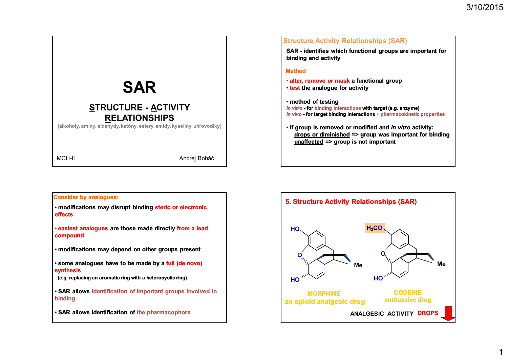1



## **Structure Activity Relationships (SAR)**

**SAR - identifies which functional groups are important for binding and activity**

### **Method**

- **alter, remove or mask a functional group**
- **test the analogue for activity**

• **method of testing**

- *in vitro* **- for binding interactions with target (e.g. enzyme)**
- *in vivo* **- for target binding interactions + pharmacokinetic properties**
- **if group is removed or modified and** *in vitro* **activity: drops or diminished => group was important for binding unaffected => group is not important**

# **Consider by analogues:**

• **modifications may disrupt binding steric or electronic effects** 

• **easiest analogues are those made directly from a lead compound**

- **modifications may depend on other groups present**
- **some analogues have to be made by a full (de novo) synthesis**
- **(e.g. replacing an aromatic ring with a heterocyclic ring)**
- **SAR allows identification of important groups involved in binding**
- **SAR allows identification of the pharmacophore**

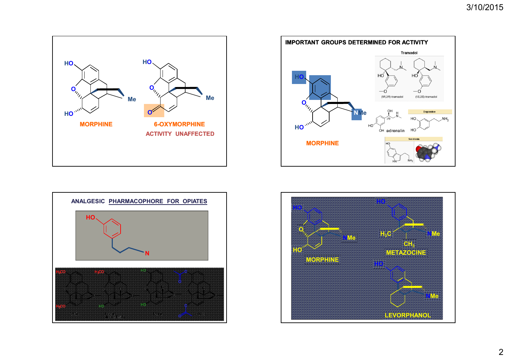





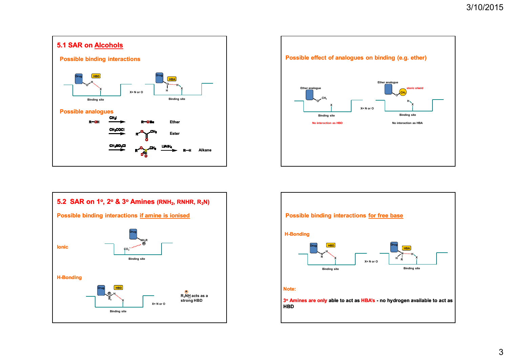





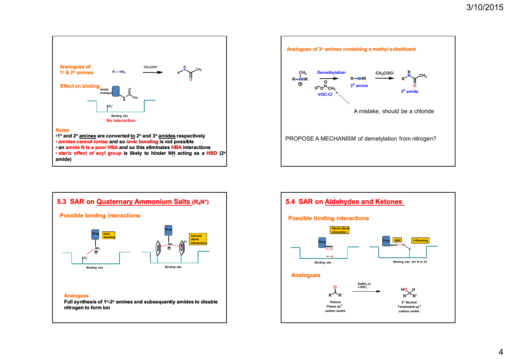

• **steric effect of acyl group is likely to hinder NH acting as a HBD (2 o amide)**





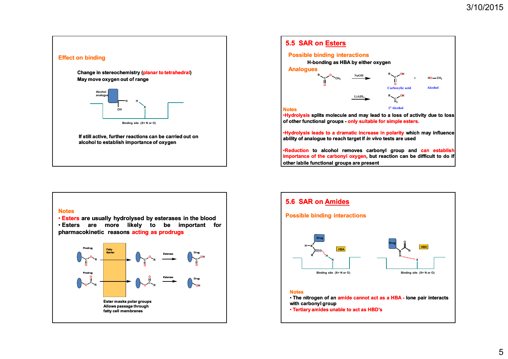



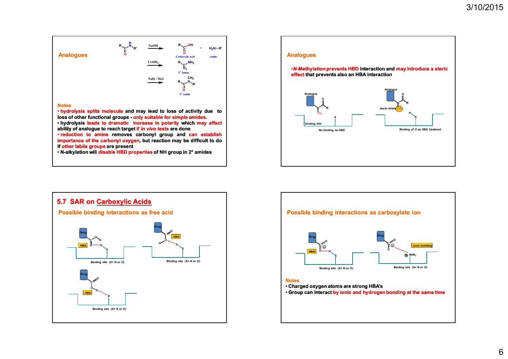

• **hydrolysis splits molecule and may lead to loss of activity due to loss of other functional groups - only suitable for simple amides.** • **hydrolysis leads to dramatic increase in polarity which may affect**

**ability of analogue to reach target if** *in vivo* **tests are done**

• **reduction to amine removes carbonyl group and can establish importance of the carbonyl oxygen, but reaction may be difficult to do if other labile groups are present**

• **N-alkylation will disable HBD properties of NH group in 2° amides**





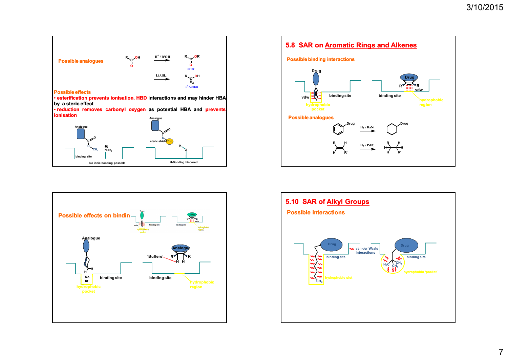

**H-Bonding hindered**

**No ionic bonding possible**